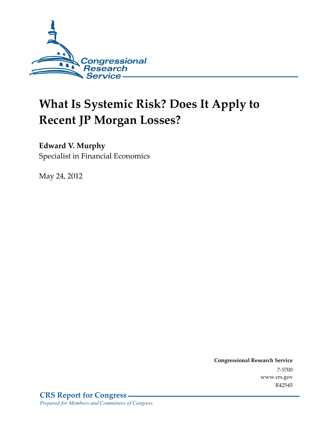

# **What Is Systemic Risk? Does It Apply to Recent JP Morgan Losses?**

### **Edward V. Murphy**

Specialist in Financial Economics

May 24, 2012

**Congressional Research Service**  7-5700 www.crs.gov R42545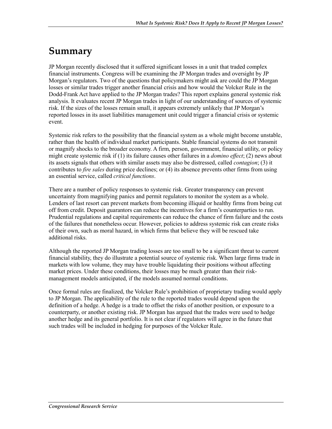### **Summary**

JP Morgan recently disclosed that it suffered significant losses in a unit that traded complex financial instruments. Congress will be examining the JP Morgan trades and oversight by JP Morgan's regulators. Two of the questions that policymakers might ask are could the JP Morgan losses or similar trades trigger another financial crisis and how would the Volcker Rule in the Dodd-Frank Act have applied to the JP Morgan trades? This report explains general systemic risk analysis. It evaluates recent JP Morgan trades in light of our understanding of sources of systemic risk. If the sizes of the losses remain small, it appears extremely unlikely that JP Morgan's reported losses in its asset liabilities management unit could trigger a financial crisis or systemic event.

Systemic risk refers to the possibility that the financial system as a whole might become unstable, rather than the health of individual market participants. Stable financial systems do not transmit or magnify shocks to the broader economy. A firm, person, government, financial utility, or policy might create systemic risk if (1) its failure causes other failures in a *domino effect*; (2) news about its assets signals that others with similar assets may also be distressed, called *contagion*; (3) it contributes to *fire sales* during price declines; or (4) its absence prevents other firms from using an essential service, called *critical functions*.

There are a number of policy responses to systemic risk. Greater transparency can prevent uncertainty from magnifying panics and permit regulators to monitor the system as a whole. Lenders of last resort can prevent markets from becoming illiquid or healthy firms from being cut off from credit. Deposit guarantors can reduce the incentives for a firm's counterparties to run. Prudential regulations and capital requirements can reduce the chance of firm failure and the costs of the failures that nonetheless occur. However, policies to address systemic risk can create risks of their own, such as moral hazard, in which firms that believe they will be rescued take additional risks.

Although the reported JP Morgan trading losses are too small to be a significant threat to current financial stability, they do illustrate a potential source of systemic risk. When large firms trade in markets with low volume, they may have trouble liquidating their positions without affecting market prices. Under these conditions, their losses may be much greater than their riskmanagement models anticipated, if the models assumed normal conditions.

Once formal rules are finalized, the Volcker Rule's prohibition of proprietary trading would apply to JP Morgan. The applicability of the rule to the reported trades would depend upon the definition of a hedge. A hedge is a trade to offset the risks of another position, or exposure to a counterparty, or another existing risk. JP Morgan has argued that the trades were used to hedge another hedge and its general portfolio. It is not clear if regulators will agree in the future that such trades will be included in hedging for purposes of the Volcker Rule.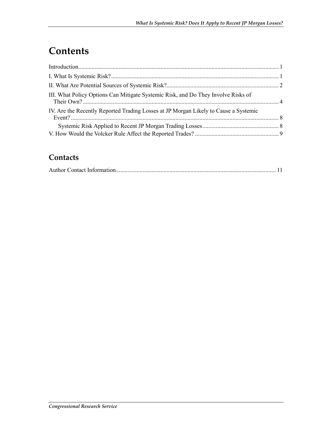# **Contents**

| III. What Policy Options Can Mitigate Systemic Risk, and Do They Involve Risks of    |  |
|--------------------------------------------------------------------------------------|--|
| IV. Are the Recently Reported Trading Losses at JP Morgan Likely to Cause a Systemic |  |
|                                                                                      |  |
|                                                                                      |  |

### **Contacts**

|--|--|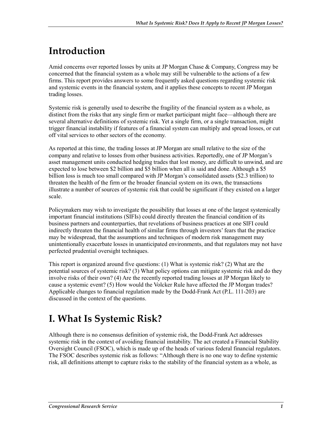# **Introduction**

Amid concerns over reported losses by units at JP Morgan Chase & Company, Congress may be concerned that the financial system as a whole may still be vulnerable to the actions of a few firms. This report provides answers to some frequently asked questions regarding systemic risk and systemic events in the financial system, and it applies these concepts to recent JP Morgan trading losses.

Systemic risk is generally used to describe the fragility of the financial system as a whole, as distinct from the risks that any single firm or market participant might face—although there are several alternative definitions of systemic risk. Yet a single firm, or a single transaction, might trigger financial instability if features of a financial system can multiply and spread losses, or cut off vital services to other sectors of the economy.

As reported at this time, the trading losses at JP Morgan are small relative to the size of the company and relative to losses from other business activities. Reportedly, one of JP Morgan's asset management units conducted hedging trades that lost money, are difficult to unwind, and are expected to lose between \$2 billion and \$5 billion when all is said and done. Although a \$5 billion loss is much too small compared with JP Morgan's consolidated assets (\$2.3 trillion) to threaten the health of the firm or the broader financial system on its own, the transactions illustrate a number of sources of systemic risk that could be significant if they existed on a larger scale.

Policymakers may wish to investigate the possibility that losses at one of the largest systemically important financial institutions (SIFIs) could directly threaten the financial condition of its business partners and counterparties, that revelations of business practices at one SIFI could indirectly threaten the financial health of similar firms through investors' fears that the practice may be widespread, that the assumptions and techniques of modern risk management may unintentionally exacerbate losses in unanticipated environments, and that regulators may not have perfected prudential oversight techniques.

This report is organized around five questions: (1) What is systemic risk? (2) What are the potential sources of systemic risk? (3) What policy options can mitigate systemic risk and do they involve risks of their own? (4) Are the recently reported trading losses at JP Morgan likely to cause a systemic event? (5) How would the Volcker Rule have affected the JP Morgan trades? Applicable changes to financial regulation made by the Dodd-Frank Act (P.L. 111-203) are discussed in the context of the questions.

# **I. What Is Systemic Risk?**

Although there is no consensus definition of systemic risk, the Dodd-Frank Act addresses systemic risk in the context of avoiding financial instability. The act created a Financial Stability Oversight Council (FSOC), which is made up of the heads of various federal financial regulators. The FSOC describes systemic risk as follows: "Although there is no one way to define systemic risk, all definitions attempt to capture risks to the stability of the financial system as a whole, as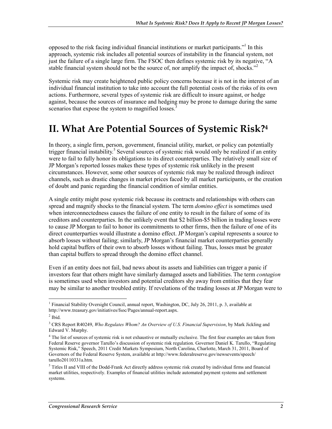opposed to the risk facing individual financial institutions or market participants."<sup>1</sup> In this approach, systemic risk includes all potential sources of instability in the financial system, not just the failure of a single large firm. The FSOC then defines systemic risk by its negative, "A stable financial system should not be the source of, nor amplify the impact of, shocks."<sup>2</sup>

Systemic risk may create heightened public policy concerns because it is not in the interest of an individual financial institution to take into account the full potential costs of the risks of its own actions. Furthermore, several types of systemic risk are difficult to insure against, or hedge against, because the sources of insurance and hedging may be prone to damage during the same scenarios that expose the system to magnified losses.<sup>3</sup>

### **II. What Are Potential Sources of Systemic Risk?4**

In theory, a single firm, person, government, financial utility, market, or policy can potentially trigger financial instability.<sup>5</sup> Several sources of systemic risk would only be realized if an entity were to fail to fully honor its obligations to its direct counterparties. The relatively small size of JP Morgan's reported losses makes these types of systemic risk unlikely in the present circumstances. However, some other sources of systemic risk may be realized through indirect channels, such as drastic changes in market prices faced by all market participants, or the creation of doubt and panic regarding the financial condition of similar entities.

A single entity might pose systemic risk because its contracts and relationships with others can spread and magnify shocks to the financial system. The term *domino effect* is sometimes used when interconnectedness causes the failure of one entity to result in the failure of some of its creditors and counterparties. In the unlikely event that \$2 billion-\$5 billion in trading losses were to cause JP Morgan to fail to honor its commitments to other firms, then the failure of one of its direct counterparties would illustrate a domino effect. JP Morgan's capital represents a source to absorb losses without failing; similarly, JP Morgan's financial market counterparties generally hold capital buffers of their own to absorb losses without failing. Thus, losses must be greater than capital buffers to spread through the domino effect channel.

Even if an entity does not fail, bad news about its assets and liabilities can trigger a panic if investors fear that others might have similarly damaged assets and liabilities. The term *contagion* is sometimes used when investors and potential creditors shy away from entities that they fear may be similar to another troubled entity. If revelations of the trading losses at JP Morgan were to

 1 Financial Stability Oversight Council, annual report, Washington, DC, July 26, 2011, p. 3, available at http://www.treasury.gov/initiatives/fsoc/Pages/annual-report.aspx.

 $<sup>2</sup>$  Ibid.</sup>

<sup>3</sup> CRS Report R40249, *Who Regulates Whom? An Overview of U.S. Financial Supervision*, by Mark Jickling and Edward V. Murphy.

<sup>&</sup>lt;sup>4</sup> The list of sources of systemic risk is not exhaustive or mutually exclusive. The first four examples are taken from Federal Reserve governor Tarullo's discussion of systemic risk regulation. Governor Daniel K. Tarullo, "Regulating Systemic Risk," Speech, 2011 Credit Markets Symposium, North Carolina, Charlotte, March 31, 2011, Board of Governors of the Federal Reserve System, available at http://www.federalreserve.gov/newsevents/speech/ tarullo20110331a.htm.

<sup>&</sup>lt;sup>5</sup> Titles II and VIII of the Dodd-Frank Act directly address systemic risk created by individual firms and financial market utilities, respectively. Examples of financial utilities include automated payment systems and settlement systems.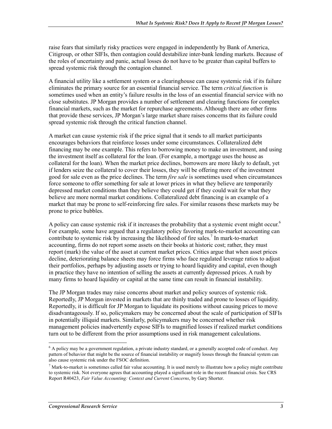raise fears that similarly risky practices were engaged in independently by Bank of America, Citigroup, or other SIFIs, then contagion could destabilize inter-bank lending markets. Because of the roles of uncertainty and panic, actual losses do not have to be greater than capital buffers to spread systemic risk through the contagion channel.

A financial utility like a settlement system or a clearinghouse can cause systemic risk if its failure eliminates the primary source for an essential financial service. The term *critical function* is sometimes used when an entity's failure results in the loss of an essential financial service with no close substitutes. JP Morgan provides a number of settlement and clearing functions for complex financial markets, such as the market for repurchase agreements. Although there are other firms that provide these services, JP Morgan's large market share raises concerns that its failure could spread systemic risk through the critical function channel.

A market can cause systemic risk if the price signal that it sends to all market participants encourages behaviors that reinforce losses under some circumstances. Collateralized debt financing may be one example. This refers to borrowing money to make an investment, and using the investment itself as collateral for the loan. (For example, a mortgage uses the house as collateral for the loan). When the market price declines, borrowers are more likely to default, yet if lenders seize the collateral to cover their losses, they will be offering more of the investment good for sale even as the price declines. The term *fire sale* is sometimes used when circumstances force someone to offer something for sale at lower prices in what they believe are temporarily depressed market conditions than they believe they could get if they could wait for what they believe are more normal market conditions. Collateralized debt financing is an example of a market that may be prone to self-reinforcing fire sales. For similar reasons these markets may be prone to price bubbles.

A policy can cause systemic risk if it increases the probability that a systemic event might occur.<sup>6</sup> For example, some have argued that a regulatory policy favoring mark-to-market accounting can contribute to systemic risk by increasing the likelihood of fire sales.<sup>7</sup> In mark-to-market accounting, firms do not report some assets on their books at historic cost; rather, they must report (mark) the value of the asset at current market prices. Critics argue that when asset prices decline, deteriorating balance sheets may force firms who face regulated leverage ratios to adjust their portfolios, perhaps by adjusting assets or trying to hoard liquidity and capital, even though in practice they have no intention of selling the assets at currently depressed prices. A rush by many firms to hoard liquidity or capital at the same time can result in financial instability.

The JP Morgan trades may raise concerns about market and policy sources of systemic risk. Reportedly, JP Morgan invested in markets that are thinly traded and prone to losses of liquidity. Reportedly, it is difficult for JP Morgan to liquidate its positions without causing prices to move disadvantageously. If so, policymakers may be concerned about the scale of participation of SIFIs in potentially illiquid markets. Similarly, policymakers may be concerned whether risk management policies inadvertently expose SIFIs to magnified losses if realized market conditions turn out to be different from the prior assumptions used in risk management calculations.

<sup>&</sup>lt;sup>6</sup> A policy may be a government regulation, a private industry standard, or a generally accepted code of conduct. Any pattern of behavior that might be the source of financial instability or magnify losses through the financial system can also cause systemic risk under the FSOC definition.

 $<sup>7</sup>$  Mark-to-market is sometimes called fair value accounting. It is used merely to illustrate how a policy might contribute</sup> to systemic risk. Not everyone agrees that accounting played a significant role in the recent financial crisis. See CRS Report R40423, *Fair Value Accounting: Context and Current Concerns*, by Gary Shorter.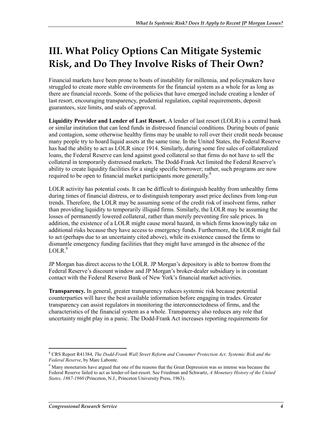# **III. What Policy Options Can Mitigate Systemic Risk, and Do They Involve Risks of Their Own?**

Financial markets have been prone to bouts of instability for millennia, and policymakers have struggled to create more stable environments for the financial system as a whole for as long as there are financial records. Some of the policies that have emerged include creating a lender of last resort, encouraging transparency, prudential regulation, capital requirements, deposit guarantees, size limits, and seals of approval.

**Liquidity Provider and Lender of Last Resort.** A lender of last resort (LOLR) is a central bank or similar institution that can lend funds in distressed financial conditions. During bouts of panic and contagion, some otherwise healthy firms may be unable to roll over their credit needs because many people try to hoard liquid assets at the same time. In the United States, the Federal Reserve has had the ability to act as LOLR since 1914. Similarly, during some fire sales of collateralized loans, the Federal Reserve can lend against good collateral so that firms do not have to sell the collateral in temporarily distressed markets. The Dodd-Frank Act limited the Federal Reserve's ability to create liquidity facilities for a single specific borrower; rather, such programs are now required to be open to financial market participants more generally.<sup>8</sup>

LOLR activity has potential costs. It can be difficult to distinguish healthy from unhealthy firms during times of financial distress, or to distinguish temporary asset price declines from long-run trends. Therefore, the LOLR may be assuming some of the credit risk of insolvent firms, rather than providing liquidity to temporarily illiquid firms. Similarly, the LOLR may be assuming the losses of permanently lowered collateral, rather than merely preventing fire sale prices. In addition, the existence of a LOLR might cause moral hazard, in which firms knowingly take on additional risks because they have access to emergency funds. Furthermore, the LOLR might fail to act (perhaps due to an uncertainty cited above), while its existence caused the firms to dismantle emergency funding facilities that they might have arranged in the absence of the  $LOLR.<sup>9</sup>$ 

JP Morgan has direct access to the LOLR. JP Morgan's depository is able to borrow from the Federal Reserve's discount window and JP Morgan's broker-dealer subsidiary is in constant contact with the Federal Reserve Bank of New York's financial market activities.

**Transparency.** In general, greater transparency reduces systemic risk because potential counterparties will have the best available information before engaging in trades. Greater transparency can assist regulators in monitoring the interconnectedness of firms, and the characteristics of the financial system as a whole. Transparency also reduces any role that uncertainty might play in a panic. The Dodd-Frank Act increases reporting requirements for

<sup>1</sup> 8 CRS Report R41384, *The Dodd-Frank Wall Street Reform and Consumer Protection Act: Systemic Risk and the Federal Reserve*, by Marc Labonte.

<sup>&</sup>lt;sup>9</sup> Many monetarists have argued that one of the reasons that the Great Depression was so intense was because the Federal Reserve failed to act as lender-of-last-resort. See Friedman and Schwartz, *A Monetary History of the United States, 1867-1960* (Princeton, N.J., Princeton University Press, 1963).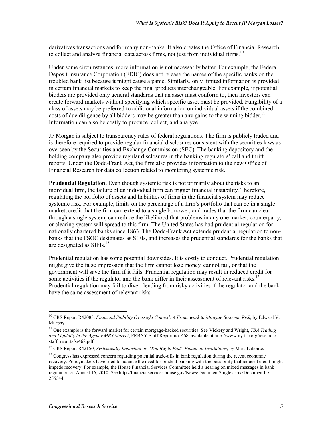derivatives transactions and for many non-banks. It also creates the Office of Financial Research to collect and analyze financial data across firms, not just from individual firms.<sup>10</sup>

Under some circumstances, more information is not necessarily better. For example, the Federal Deposit Insurance Corporation (FDIC) does not release the names of the specific banks on the troubled bank list because it might cause a panic. Similarly, only limited information is provided in certain financial markets to keep the final products interchangeable. For example, if potential bidders are provided only general standards that an asset must conform to, then investors can create forward markets without specifying which specific asset must be provided. Fungibility of a class of assets may be preferred to additional information on individual assets if the combined costs of due diligence by all bidders may be greater than any gains to the winning bidder.<sup>11</sup> Information can also be costly to produce, collect, and analyze.

JP Morgan is subject to transparency rules of federal regulations. The firm is publicly traded and is therefore required to provide regular financial disclosures consistent with the securities laws as overseen by the Securities and Exchange Commission (SEC). The banking depository and the holding company also provide regular disclosures in the banking regulators' call and thrift reports. Under the Dodd-Frank Act, the firm also provides information to the new Office of Financial Research for data collection related to monitoring systemic risk.

**Prudential Regulation.** Even though systemic risk is not primarily about the risks to an individual firm, the failure of an individual firm can trigger financial instability. Therefore, regulating the portfolio of assets and liabilities of firms in the financial system may reduce systemic risk. For example, limits on the percentage of a firm's portfolio that can be in a single market, credit that the firm can extend to a single borrower, and trades that the firm can clear through a single system, can reduce the likelihood that problems in any one market, counterparty, or clearing system will spread to this firm. The United States has had prudential regulation for nationally chartered banks since 1863. The Dodd-Frank Act extends prudential regulation to nonbanks that the FSOC designates as SIFIs, and increases the prudential standards for the banks that are designated as  $SIFIs.<sup>12</sup>$ 

Prudential regulation has some potential downsides. It is costly to conduct. Prudential regulation might give the false impression that the firm cannot lose money, cannot fail, or that the government will save the firm if it fails. Prudential regulation may result in reduced credit for some activities if the regulator and the bank differ in their assessment of relevant risks.<sup>13</sup> Prudential regulation may fail to divert lending from risky activities if the regulator and the bank have the same assessment of relevant risks.

<sup>&</sup>lt;u>.</u> 10 CRS Report R42083, *Financial Stability Oversight Council: A Framework to Mitigate Systemic Risk*, by Edward V. Murphy.

<sup>&</sup>lt;sup>11</sup> One example is the forward market for certain mortgage-backed securities. See Vickery and Wright, *TBA Trading and Liquidity in the Agency MBS Market*, FRBNY Staff Report no. 468, available at http://www.ny.frb.org/research/ staff\_reports/sr468.pdf.

<sup>&</sup>lt;sup>12</sup> CRS Report R42150, *Systemically Important or "Too Big to Fail" Financial Institutions*, by Marc Labonte.

<sup>&</sup>lt;sup>13</sup> Congress has expressed concern regarding potential trade-offs in bank regulation during the recent economic recovery. Policymakers have tried to balance the need for prudent banking with the possibility that reduced credit might impede recovery. For example, the House Financial Services Committee held a hearing on mixed messages in bank regulation on August 16, 2010. See http://financialservices.house.gov/News/DocumentSingle.aspx?DocumentID= 255544.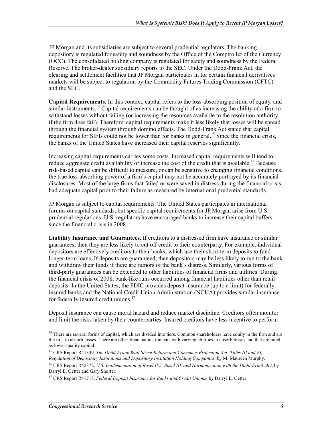JP Morgan and its subsidiaries are subject to several prudential regulators. The banking depository is regulated for safety and soundness by the Office of the Comptroller of the Currency (OCC). The consolidated holding company is regulated for safety and soundness by the Federal Reserve. The broker-dealer subsidiary reports to the SEC. Under the Dodd-Frank Act, the clearing and settlement facilities that JP Morgan participates in for certain financial derivatives markets will be subject to regulation by the Commodity Futures Trading Commission (CFTC) and the SEC.

**Capital Requirements.** In this context, capital refers to the loss-absorbing position of equity, and similar instruments.<sup>14</sup> Capital requirements can be thought of as increasing the ability of a firm to withstand losses without failing (or increasing the resources available to the resolution authority if the firm does fail). Therefore, capital requirements make it less likely that losses will be spread through the financial system through domino effects. The Dodd-Frank Act stated that capital requirements for SIFIs could not be lower than for banks in general.<sup>15</sup> Since the financial crisis, the banks of the United States have increased their capital reserves significantly.

Increasing capital requirements carries some costs. Increased capital requirements will tend to reduce aggregate credit availability or increase the cost of the credit that is available.<sup>16</sup> Because risk-based capital can be difficult to measure, or can be sensitive to changing financial conditions, the true loss-absorbing power of a firm's capital may not be accurately portrayed by its financial disclosures. Most of the large firms that failed or were saved in distress during the financial crisis had adequate capital prior to their failure as measured by international prudential standards.

JP Morgan is subject to capital requirements. The United States participates in international forums on capital standards, but specific capital requirements for JP Morgan arise from U.S. prudential regulations. U.S. regulators have encouraged banks to increase their capital buffers since the financial crisis in 2008.

**Liability Insurance and Guarantees.** If creditors to a distressed firm have insurance or similar guarantees, then they are less likely to cut off credit to their counterparty. For example, individual depositors are effectively creditors to their banks, which use their short-term deposits to fund longer-term loans. If deposits are guaranteed, then depositors may be less likely to run to the bank and withdraw their funds if there are rumors of the bank's distress. Similarly, various forms of third-party guarantees can be extended to other liabilities of financial firms and utilities. During the financial crisis of 2008, bank-like runs occurred among financial liabilities other than retail deposits. In the United States, the FDIC provides deposit insurance (up to a limit) for federally insured banks and the National Credit Union Administration (NCUA) provides similar insurance for federally insured credit unions.<sup>17</sup>

Deposit insurance can cause moral hazard and reduce market discipline. Creditors often monitor and limit the risks taken by their counterparties. Insured creditors have less incentive to perform

<sup>&</sup>lt;sup>14</sup> There are several forms of capital, which are divided into tiers. Common shareholders have equity in the firm and are the first to absorb losses. There are other financial instruments with varying abilities to absorb losses and that are rated as lower quality capital.

<sup>15</sup> CRS Report R41339, *The Dodd-Frank Wall Street Reform and Consumer Protection Act: Titles III and VI, Regulation of Depository Institutions and Depository Institution Holding Companies*, by M. Maureen Murphy.

<sup>&</sup>lt;sup>16</sup> CRS Report R42372, *U.S. Implementation of Basel II.5, Basel III, and Harmonization with the Dodd-Frank Act*, by Darryl E. Getter and Gary Shorter.

<sup>17</sup> CRS Report R41718, *Federal Deposit Insurance for Banks and Credit Unions*, by Darryl E. Getter.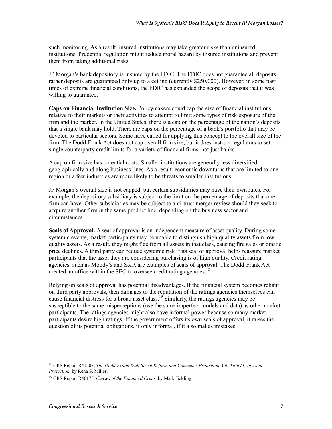such monitoring. As a result, insured institutions may take greater risks than uninsured institutions. Prudential regulation might reduce moral hazard by insured institutions and prevent them from taking additional risks.

JP Morgan's bank depository is insured by the FDIC. The FDIC does not guarantee all deposits, rather deposits are guaranteed only up to a ceiling (currently \$250,000). However, in some past times of extreme financial conditions, the FDIC has expanded the scope of deposits that it was willing to guarantee.

**Caps on Financial Institution Size.** Policymakers could cap the size of financial institutions relative to their markets or their activities to attempt to limit some types of risk exposure of the firm and the market. In the United States, there is a cap on the percentage of the nation's deposits that a single bank may hold. There are caps on the percentage of a bank's portfolio that may be devoted to particular sectors. Some have called for applying this concept to the overall size of the firm. The Dodd-Frank Act does not cap overall firm size, but it does instruct regulators to set single counterparty credit limits for a variety of financial firms, not just banks.

A cap on firm size has potential costs. Smaller institutions are generally less diversified geographically and along business lines. As a result, economic downturns that are limited to one region or a few industries are more likely to be threats to smaller institutions.

JP Morgan's overall size is not capped, but certain subsidiaries may have their own rules. For example, the depository subsidiary is subject to the limit on the percentage of deposits that one firm can have. Other subsidiaries may be subject to anti-trust merger review should they seek to acquire another firm in the same product line, depending on the business sector and circumstances.

**Seals of Approval.** A seal of approval is an independent measure of asset quality. During some systemic events, market participants may be unable to distinguish high quality assets from low quality assets. As a result, they might flee from all assets in that class, causing fire sales or drastic price declines. A third party can reduce systemic risk if its seal of approval helps reassure market participants that the asset they are considering purchasing is of high quality. Credit rating agencies, such as Moody's and S&P, are examples of seals of approval. The Dodd-Frank Act created an office within the SEC to oversee credit rating agencies.<sup>18</sup>

Relying on seals of approval has potential disadvantages. If the financial system becomes reliant on third party approvals, then damages to the reputation of the ratings agencies themselves can cause financial distress for a broad asset class.<sup>19</sup> Similarly, the ratings agencies may be susceptible to the same misperceptions (use the same imperfect models and data) as other market participants. The ratings agencies might also have informal power because so many market participants desire high ratings. If the government offers its own seals of approval, it raises the question of its potential obligations, if only informal, if it also makes mistakes.

<sup>18</sup> CRS Report R41503, *The Dodd-Frank Wall Street Reform and Consumer Protection Act: Title IX, Investor Protection*, by Rena S. Miller.

<sup>19</sup> CRS Report R40173, *Causes of the Financial Crisis*, by Mark Jickling.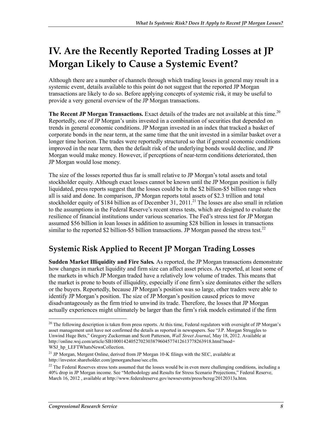# **IV. Are the Recently Reported Trading Losses at JP Morgan Likely to Cause a Systemic Event?**

Although there are a number of channels through which trading losses in general may result in a systemic event, details available to this point do not suggest that the reported JP Morgan transactions are likely to do so. Before applying concepts of systemic risk, it may be useful to provide a very general overview of the JP Morgan transactions.

**The Recent JP Morgan Transactions.** Exact details of the trades are not available at this time.<sup>20</sup> Reportedly, one of JP Morgan's units invested in a combination of securities that depended on trends in general economic conditions. JP Morgan invested in an index that tracked a basket of corporate bonds in the near term, at the same time that the unit invested in a similar basket over a longer time horizon. The trades were reportedly structured so that if general economic conditions improved in the near term, then the default risk of the underlying bonds would decline, and JP Morgan would make money. However, if perceptions of near-term conditions deteriorated, then JP Morgan would lose money.

The size of the losses reported thus far is small relative to JP Morgan's total assets and total stockholder equity. Although exact losses cannot be known until the JP Morgan position is fully liquidated, press reports suggest that the losses could be in the \$2 billion-\$5 billion range when all is said and done. In comparison, JP Morgan reports total assets of \$2.3 trillion and total stockholder equity of \$184 billion as of December 31,  $2011$ <sup>21</sup>. The losses are also small in relation to the assumptions in the Federal Reserve's recent stress tests, which are designed to evaluate the resilience of financial institutions under various scenarios. The Fed's stress test for JP Morgan assumed \$56 billion in loan losses in addition to assuming \$28 billion in losses in transactions similar to the reported \$2 billion-\$5 billion transactions. JP Morgan passed the stress test.<sup>22</sup>

#### **Systemic Risk Applied to Recent JP Morgan Trading Losses**

**Sudden Market Illiquidity and Fire Sales***.* As reported, the JP Morgan transactions demonstrate how changes in market liquidity and firm size can affect asset prices. As reported, at least some of the markets in which JP Morgan traded have a relatively low volume of trades. This means that the market is prone to bouts of illiquidity, especially if one firm's size dominates either the sellers or the buyers. Reportedly, because JP Morgan's position was so large, other traders were able to identify JP Morgan's position. The size of JP Morgan's position caused prices to move disadvantageously as the firm tried to unwind its trade. Therefore, the losses that JP Morgan actually experiences might ultimately be larger than the firm's risk models estimated if the firm

<sup>&</sup>lt;sup>20</sup> The following description is taken from press reports. At this time, Federal regulators with oversight of JP Morgan's asset management unit have not confirmed the details as reported in newspapers. See "J.P. Morgan Struggles to Unwind Huge Bets," Gregory Zuckerman and Scott Patterson, *Wall Street Journal*, May 18, 2012. Available at http://online.wsj.com/article/SB10001424052702303879604577412613778263918.html?mod= WSJ\_hp\_LEFTWhatsNewsCollection.

<sup>&</sup>lt;sup>21</sup> JP Morgan, Mergent Online, derived from JP Morgan 10-K filings with the SEC, available at http://investor.shareholder.com/jpmorganchase/sec.cfm.

<sup>&</sup>lt;sup>22</sup> The Federal Reserves stress tests assumed that the losses would be in even more challenging conditions, including a 40% drop in JP Morgan income. See "Methodology and Results for Stress Scenario Projections," Federal Reserve, March 16, 2012 , available at http://www.federalreserve.gov/newsevents/press/bcreg/20120313a.htm.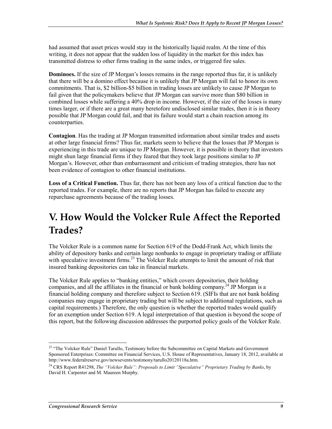had assumed that asset prices would stay in the historically liquid realm. At the time of this writing, it does not appear that the sudden loss of liquidity in the market for this index has transmitted distress to other firms trading in the same index, or triggered fire sales.

**Dominoes.** If the size of JP Morgan's losses remains in the range reported thus far, it is unlikely that there will be a domino effect because it is unlikely that JP Morgan will fail to honor its own commitments. That is, \$2 billion-\$5 billion in trading losses are unlikely to cause JP Morgan to fail given that the policymakers believe that JP Morgan can survive more than \$80 billion in combined losses while suffering a 40% drop in income. However, if the size of the losses is many times larger, or if there are a great many heretofore undisclosed similar trades, then it is in theory possible that JP Morgan could fail, and that its failure would start a chain reaction among its counterparties.

**Contagion**. Has the trading at JP Morgan transmitted information about similar trades and assets at other large financial firms? Thus far, markets seem to believe that the losses that JP Morgan is experiencing in this trade are unique to JP Morgan. However, it is possible in theory that investors might shun large financial firms if they feared that they took large positions similar to JP Morgan's. However, other than embarrassment and criticism of trading strategies, there has not been evidence of contagion to other financial institutions.

**Loss of a Critical Function.** Thus far, there has not been any loss of a critical function due to the reported trades. For example, there are no reports that JP Morgan has failed to execute any repurchase agreements because of the trading losses.

# **V. How Would the Volcker Rule Affect the Reported Trades?**

The Volcker Rule is a common name for Section 619 of the Dodd-Frank Act, which limits the ability of depository banks and certain large nonbanks to engage in proprietary trading or affiliate with speculative investment firms.<sup>23</sup> The Volcker Rule attempts to limit the amount of risk that insured banking depositories can take in financial markets.

The Volcker Rule applies to "banking entities," which covers depositories, their holding companies, and all the affiliates in the financial or bank holding company.<sup>24</sup> JP Morgan is a financial holding company and therefore subject to Section 619. (SIFIs that are not bank holding companies may engage in proprietary trading but will be subject to additional regulations, such as capital requirements.) Therefore, the only question is whether the reported trades would qualify for an exemption under Section 619. A legal interpretation of that question is beyond the scope of this report, but the following discussion addresses the purported policy goals of the Volcker Rule.

<sup>&</sup>lt;sup>23</sup> "The Volcker Rule" Daniel Tarullo, Testimony before the Subcommittee on Capital Markets and Government Sponsored Enterprises: Committee on Financial Services, U.S. House of Representatives, January 18, 2012, available at http://www.federalreserve.gov/newsevents/testimony/tarullo20120118a.htm.

<sup>24</sup> CRS Report R41298, *The "Volcker Rule": Proposals to Limit "Speculative" Proprietary Trading by Banks*, by David H. Carpenter and M. Maureen Murphy.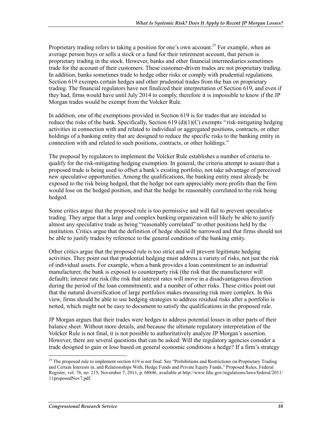Proprietary trading refers to taking a position for one's own account.<sup>25</sup> For example, when an average person buys or sells a stock or a fund for their retirement account, that person is proprietary trading in the stock. However, banks and other financial intermediaries sometimes trade for the account of their customers. These customer-driven trades are not proprietary trading. In addition, banks sometimes trade to hedge other risks or comply with prudential regulations. Section 619 exempts certain hedges and other prudential trades from the ban on proprietary trading. The financial regulators have not finalized their interpretation of Section 619, and even if they had, firms would have until July 2014 to comply, therefore it is impossible to know if the JP Morgan trades would be exempt from the Volcker Rule.

In addition, one of the exemptions provided in Section 619 is for trades that are intended to reduce the risks of the bank. Specifically, Section  $619 \text{ (d)}(1)(C)$  exempts "risk-mitigating hedging activities in connection with and related to individual or aggregated positions, contracts, or other holdings of a banking entity that are designed to reduce the specific risks to the banking entity in connection with and related to such positions, contracts, or other holdings."

The proposal by regulators to implement the Volcker Rule establishes a number of criteria to qualify for the risk-mitigating hedging exemption. In general, the criteria attempt to assure that a proposed trade is being used to offset a bank's existing portfolio, not take advantage of perceived new speculative opportunities. Among the qualifications, the banking entity must already be exposed to the risk being hedged, that the hedge not earn appreciably more profits than the firm would lose on the hedged position, and that the hedge be reasonably correlated to the risk being hedged.

Some critics argue that the proposed rule is too permissive and will fail to prevent speculative trading. They argue that a large and complex banking organization will likely be able to justify almost any speculative trade as being "reasonably correlated" to other positions held by the institution. Critics argue that the definition of hedge should be narrowed and that firms should not be able to justify trades by reference to the general condition of the banking entity.

Other critics argue that the proposed rule is too strict and will prevent legitimate hedging activities. They point out that prudential hedging must address a variety of risks, not just the risk of individual assets. For example, when a bank provides a loan commitment to an industrial manufacturer, the bank is exposed to counterparty risk (the risk that the manufacturer will default); interest rate risk (the risk that interest rates will move in a disadvantageous direction during the period of the loan commitment); and a number of other risks. These critics point out that the natural diversification of large portfolios makes measuring risk more complex. In this view, firms should be able to use hedging strategies to address residual risks after a portfolio is netted, which might not be easy to document to satisfy the qualifications in the proposed rule.

JP Morgan argues that their trades were hedges to address potential losses in other parts of their balance sheet. Without more details, and because the ultimate regulatory interpretation of the Volcker Rule is not final, it is not possible to authoritatively analyze JP Morgan's assertion. However, there are several questions that can be asked: Will the regulatory agencies consider a trade designed to gain or lose based on general economic conditions a hedge? If a firm's strategy

<sup>&</sup>lt;sup>25</sup> The proposed rule to implement section 619 is not final. See "Prohibitions and Restrictions on Proprietary Trading and Certain Interests in, and Relationships With, Hedge Funds and Private Equity Funds," Proposed Rules, Federal Register, vol. 76, no. 215, November 7, 2011, p. 68846, available at http://www.fdic.gov/regulations/laws/federal/2011/ 11proposedNov7.pdf.